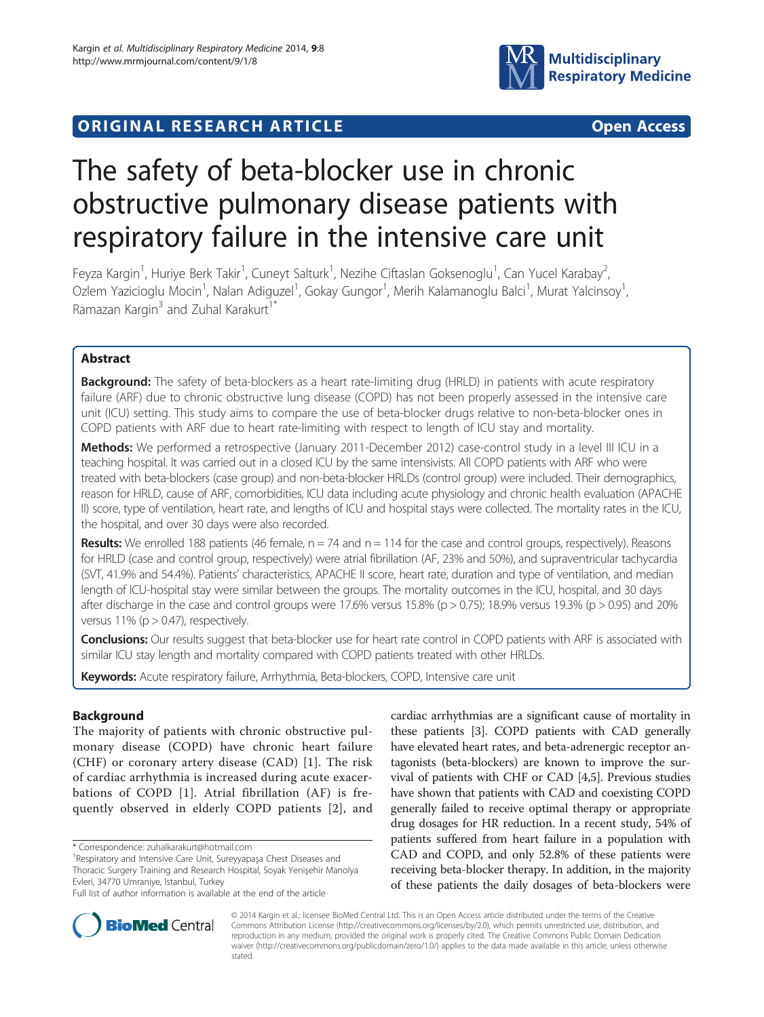



# The safety of beta-blocker use in chronic obstructive pulmonary disease patients with respiratory failure in the intensive care unit

Feyza Kargin<sup>1</sup>, Huriye Berk Takir<sup>1</sup>, Cuneyt Salturk<sup>1</sup>, Nezihe Ciftaslan Goksenoglu<sup>1</sup>, Can Yucel Karabay<sup>2</sup> .<br>, Ozlem Yazicioglu Mocin<sup>1</sup>, Nalan Adiguzel<sup>1</sup>, Gokay Gungor<sup>1</sup>, Merih Kalamanoglu Balci<sup>1</sup>, Murat Yalcinsoy<sup>1</sup> , Ramazan Kargin $3$  and Zuhal Karakurt<sup>1</sup><sup>\*</sup>

# Abstract

**Background:** The safety of beta-blockers as a heart rate-limiting drug (HRLD) in patients with acute respiratory failure (ARF) due to chronic obstructive lung disease (COPD) has not been properly assessed in the intensive care unit (ICU) setting. This study aims to compare the use of beta-blocker drugs relative to non-beta-blocker ones in COPD patients with ARF due to heart rate-limiting with respect to length of ICU stay and mortality.

Methods: We performed a retrospective (January 2011-December 2012) case-control study in a level III ICU in a teaching hospital. It was carried out in a closed ICU by the same intensivists. All COPD patients with ARF who were treated with beta-blockers (case group) and non-beta-blocker HRLDs (control group) were included. Their demographics, reason for HRLD, cause of ARF, comorbidities, ICU data including acute physiology and chronic health evaluation (APACHE II) score, type of ventilation, heart rate, and lengths of ICU and hospital stays were collected. The mortality rates in the ICU, the hospital, and over 30 days were also recorded.

**Results:** We enrolled 188 patients (46 female,  $n = 74$  and  $n = 114$  for the case and control groups, respectively). Reasons for HRLD (case and control group, respectively) were atrial fibrillation (AF, 23% and 50%), and supraventricular tachycardia (SVT, 41.9% and 54.4%). Patients' characteristics, APACHE II score, heart rate, duration and type of ventilation, and median length of ICU-hospital stay were similar between the groups. The mortality outcomes in the ICU, hospital, and 30 days after discharge in the case and control groups were  $17.6\%$  versus  $15.8\%$  (p  $> 0.75$ ); 18.9% versus 19.3% (p  $> 0.95$ ) and 20% versus  $11\%$  (p > 0.47), respectively.

Conclusions: Our results suggest that beta-blocker use for heart rate control in COPD patients with ARF is associated with similar ICU stay length and mortality compared with COPD patients treated with other HRLDs.

Keywords: Acute respiratory failure, Arrhythmia, Beta-blockers, COPD, Intensive care unit

# Background

The majority of patients with chronic obstructive pulmonary disease (COPD) have chronic heart failure (CHF) or coronary artery disease (CAD) [[1\]](#page-7-0). The risk of cardiac arrhythmia is increased during acute exacerbations of COPD [[1](#page-7-0)]. Atrial fibrillation (AF) is frequently observed in elderly COPD patients [[2](#page-7-0)], and

\* Correspondence: [zuhalkarakurt@hotmail.com](mailto:zuhalkarakurt@hotmail.com) <sup>1</sup>

cardiac arrhythmias are a significant cause of mortality in these patients [\[3](#page-7-0)]. COPD patients with CAD generally have elevated heart rates, and beta-adrenergic receptor antagonists (beta-blockers) are known to improve the survival of patients with CHF or CAD [\[4,5](#page-7-0)]. Previous studies have shown that patients with CAD and coexisting COPD generally failed to receive optimal therapy or appropriate drug dosages for HR reduction. In a recent study, 54% of patients suffered from heart failure in a population with CAD and COPD, and only 52.8% of these patients were receiving beta-blocker therapy. In addition, in the majority of these patients the daily dosages of beta-blockers were



© 2014 Kargin et al.; licensee BioMed Central Ltd. This is an Open Access article distributed under the terms of the Creative Commons Attribution License [\(http://creativecommons.org/licenses/by/2.0\)](http://creativecommons.org/licenses/by/2.0), which permits unrestricted use, distribution, and reproduction in any medium, provided the original work is properly cited. The Creative Commons Public Domain Dedication waiver [\(http://creativecommons.org/publicdomain/zero/1.0/\)](http://creativecommons.org/publicdomain/zero/1.0/) applies to the data made available in this article, unless otherwise stated.

<sup>&</sup>lt;sup>1</sup> Respiratory and Intensive Care Unit, Sureyyapaşa Chest Diseases and Thoracic Surgery Training and Research Hospital, Soyak Yenişehir Manolya Evleri, 34770 Umraniye, Istanbul, Turkey

Full list of author information is available at the end of the article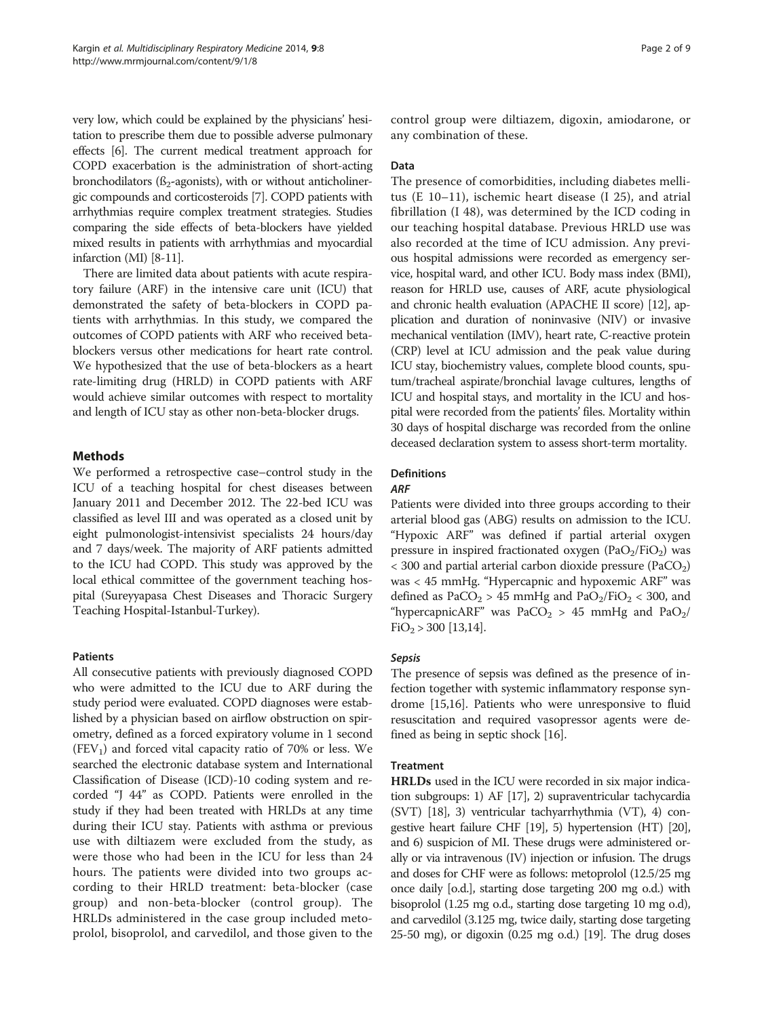very low, which could be explained by the physicians' hesitation to prescribe them due to possible adverse pulmonary effects [[6](#page-7-0)]. The current medical treatment approach for COPD exacerbation is the administration of short-acting bronchodilators ( $\beta_2$ -agonists), with or without anticholinergic compounds and corticosteroids [\[7\]](#page-7-0). COPD patients with arrhythmias require complex treatment strategies. Studies comparing the side effects of beta-blockers have yielded mixed results in patients with arrhythmias and myocardial infarction (MI) [[8](#page-7-0)-[11](#page-7-0)].

There are limited data about patients with acute respiratory failure (ARF) in the intensive care unit (ICU) that demonstrated the safety of beta-blockers in COPD patients with arrhythmias. In this study, we compared the outcomes of COPD patients with ARF who received betablockers versus other medications for heart rate control. We hypothesized that the use of beta-blockers as a heart rate-limiting drug (HRLD) in COPD patients with ARF would achieve similar outcomes with respect to mortality and length of ICU stay as other non-beta-blocker drugs.

## Methods

We performed a retrospective case–control study in the ICU of a teaching hospital for chest diseases between January 2011 and December 2012. The 22-bed ICU was classified as level III and was operated as a closed unit by eight pulmonologist-intensivist specialists 24 hours/day and 7 days/week. The majority of ARF patients admitted to the ICU had COPD. This study was approved by the local ethical committee of the government teaching hospital (Sureyyapasa Chest Diseases and Thoracic Surgery Teaching Hospital-Istanbul-Turkey).

## Patients

All consecutive patients with previously diagnosed COPD who were admitted to the ICU due to ARF during the study period were evaluated. COPD diagnoses were established by a physician based on airflow obstruction on spirometry, defined as a forced expiratory volume in 1 second  $(FEV<sub>1</sub>)$  and forced vital capacity ratio of 70% or less. We searched the electronic database system and International Classification of Disease (ICD)-10 coding system and recorded "J 44" as COPD. Patients were enrolled in the study if they had been treated with HRLDs at any time during their ICU stay. Patients with asthma or previous use with diltiazem were excluded from the study, as were those who had been in the ICU for less than 24 hours. The patients were divided into two groups according to their HRLD treatment: beta-blocker (case group) and non-beta-blocker (control group). The HRLDs administered in the case group included metoprolol, bisoprolol, and carvedilol, and those given to the control group were diltiazem, digoxin, amiodarone, or any combination of these.

## Data

The presence of comorbidities, including diabetes mellitus (E 10–11), ischemic heart disease (I 25), and atrial fibrillation (I 48), was determined by the ICD coding in our teaching hospital database. Previous HRLD use was also recorded at the time of ICU admission. Any previous hospital admissions were recorded as emergency service, hospital ward, and other ICU. Body mass index (BMI), reason for HRLD use, causes of ARF, acute physiological and chronic health evaluation (APACHE II score) [\[12\]](#page-7-0), application and duration of noninvasive (NIV) or invasive mechanical ventilation (IMV), heart rate, C-reactive protein (CRP) level at ICU admission and the peak value during ICU stay, biochemistry values, complete blood counts, sputum/tracheal aspirate/bronchial lavage cultures, lengths of ICU and hospital stays, and mortality in the ICU and hospital were recorded from the patients' files. Mortality within 30 days of hospital discharge was recorded from the online deceased declaration system to assess short-term mortality.

# Definitions

#### ARF

Patients were divided into three groups according to their arterial blood gas (ABG) results on admission to the ICU. "Hypoxic ARF" was defined if partial arterial oxygen pressure in inspired fractionated oxygen (PaO<sub>2</sub>/FiO<sub>2</sub>) was  $<$  300 and partial arterial carbon dioxide pressure (PaCO<sub>2</sub>) was < 45 mmHg. "Hypercapnic and hypoxemic ARF" was defined as  $PaCO<sub>2</sub> > 45$  mmHg and  $PaO<sub>2</sub>/FiO<sub>2</sub> < 300$ , and "hypercapnicARF" was  $PaCO<sub>2</sub> > 45$  mmHg and  $PaO<sub>2</sub>/$  $FiO<sub>2</sub> > 300$  [[13,14\]](#page-7-0).

# Sepsis

The presence of sepsis was defined as the presence of infection together with systemic inflammatory response syndrome [\[15,16\]](#page-8-0). Patients who were unresponsive to fluid resuscitation and required vasopressor agents were defined as being in septic shock [\[16\]](#page-8-0).

## Treatment

HRLDs used in the ICU were recorded in six major indication subgroups: 1) AF [[17\]](#page-8-0), 2) supraventricular tachycardia (SVT) [\[18\]](#page-8-0), 3) ventricular tachyarrhythmia (VT), 4) congestive heart failure CHF [[19](#page-8-0)], 5) hypertension (HT) [\[20](#page-8-0)], and 6) suspicion of MI. These drugs were administered orally or via intravenous (IV) injection or infusion. The drugs and doses for CHF were as follows: metoprolol (12.5/25 mg once daily [o.d.], starting dose targeting 200 mg o.d.) with bisoprolol (1.25 mg o.d., starting dose targeting 10 mg o.d), and carvedilol (3.125 mg, twice daily, starting dose targeting 25-50 mg), or digoxin (0.25 mg o.d.) [\[19\]](#page-8-0). The drug doses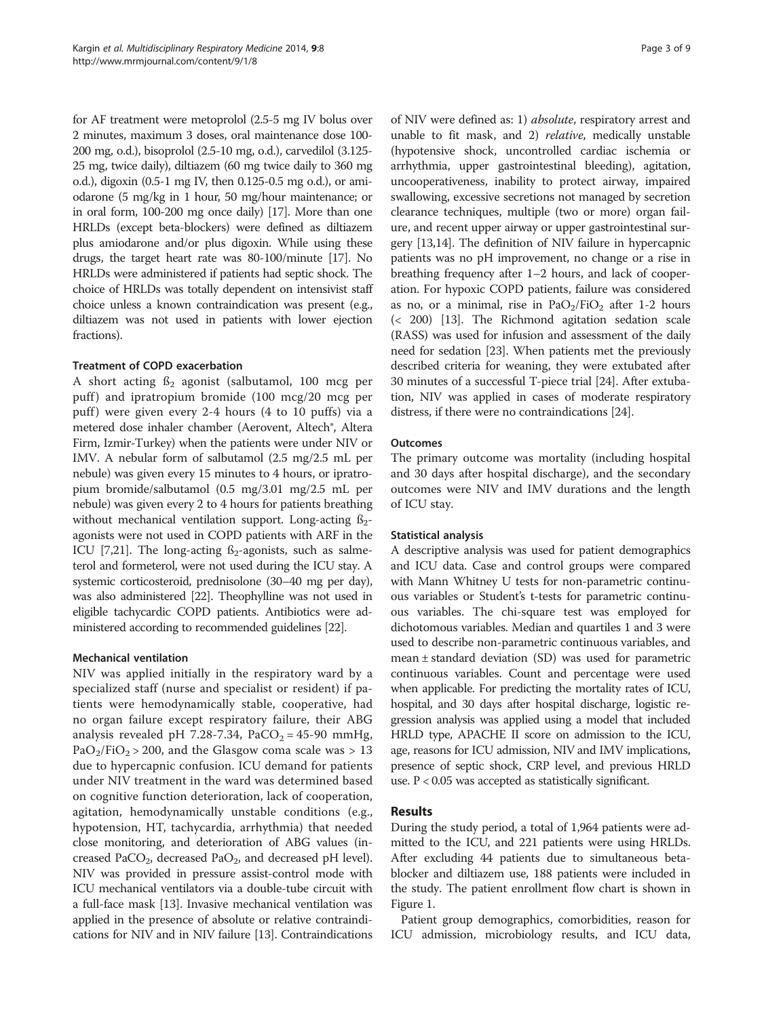for AF treatment were metoprolol (2.5-5 mg IV bolus over 2 minutes, maximum 3 doses, oral maintenance dose 100- 200 mg, o.d.), bisoprolol (2.5-10 mg, o.d.), carvedilol (3.125- 25 mg, twice daily), diltiazem (60 mg twice daily to 360 mg o.d.), digoxin (0.5-1 mg IV, then 0.125-0.5 mg o.d.), or amiodarone (5 mg/kg in 1 hour, 50 mg/hour maintenance; or in oral form, 100-200 mg once daily) [\[17](#page-8-0)]. More than one HRLDs (except beta-blockers) were defined as diltiazem plus amiodarone and/or plus digoxin. While using these drugs, the target heart rate was 80-100/minute [\[17](#page-8-0)]. No HRLDs were administered if patients had septic shock. The choice of HRLDs was totally dependent on intensivist staff choice unless a known contraindication was present (e.g., diltiazem was not used in patients with lower ejection fractions).

#### Treatment of COPD exacerbation

A short acting  $\beta_2$  agonist (salbutamol, 100 mcg per puff) and ipratropium bromide (100 mcg/20 mcg per puff) were given every 2-4 hours (4 to 10 puffs) via a metered dose inhaler chamber (Aerovent, Altech®, Altera Firm, Izmir-Turkey) when the patients were under NIV or IMV. A nebular form of salbutamol (2.5 mg/2.5 mL per nebule) was given every 15 minutes to 4 hours, or ipratropium bromide/salbutamol (0.5 mg/3.01 mg/2.5 mL per nebule) was given every 2 to 4 hours for patients breathing without mechanical ventilation support. Long-acting  $\beta_{2}$ agonists were not used in COPD patients with ARF in the ICU [\[7](#page-7-0)[,21\]](#page-8-0). The long-acting  $\beta_2$ -agonists, such as salmeterol and formeterol, were not used during the ICU stay. A systemic corticosteroid, prednisolone (30–40 mg per day), was also administered [[22](#page-8-0)]. Theophylline was not used in eligible tachycardic COPD patients. Antibiotics were administered according to recommended guidelines [\[22](#page-8-0)].

## Mechanical ventilation

NIV was applied initially in the respiratory ward by a specialized staff (nurse and specialist or resident) if patients were hemodynamically stable, cooperative, had no organ failure except respiratory failure, their ABG analysis revealed pH 7.28-7.34,  $PaCO<sub>2</sub> = 45-90$  mmHg,  $PaO<sub>2</sub>/FiO<sub>2</sub> > 200$ , and the Glasgow coma scale was  $> 13$ due to hypercapnic confusion. ICU demand for patients under NIV treatment in the ward was determined based on cognitive function deterioration, lack of cooperation, agitation, hemodynamically unstable conditions (e.g., hypotension, HT, tachycardia, arrhythmia) that needed close monitoring, and deterioration of ABG values (increased PaCO<sub>2</sub>, decreased PaO<sub>2</sub>, and decreased pH level). NIV was provided in pressure assist-control mode with ICU mechanical ventilators via a double-tube circuit with a full-face mask [[13](#page-7-0)]. Invasive mechanical ventilation was applied in the presence of absolute or relative contraindications for NIV and in NIV failure [\[13\]](#page-7-0). Contraindications

of NIV were defined as: 1) absolute, respiratory arrest and unable to fit mask, and 2) relative, medically unstable (hypotensive shock, uncontrolled cardiac ischemia or arrhythmia, upper gastrointestinal bleeding), agitation, uncooperativeness, inability to protect airway, impaired swallowing, excessive secretions not managed by secretion clearance techniques, multiple (two or more) organ failure, and recent upper airway or upper gastrointestinal surgery [\[13,14](#page-7-0)]. The definition of NIV failure in hypercapnic patients was no pH improvement, no change or a rise in breathing frequency after 1–2 hours, and lack of cooperation. For hypoxic COPD patients, failure was considered as no, or a minimal, rise in  $PaO<sub>2</sub>/FiO<sub>2</sub>$  after 1-2 hours (< 200) [[13](#page-7-0)]. The Richmond agitation sedation scale (RASS) was used for infusion and assessment of the daily need for sedation [[23](#page-8-0)]. When patients met the previously described criteria for weaning, they were extubated after 30 minutes of a successful T-piece trial [\[24\]](#page-8-0). After extubation, NIV was applied in cases of moderate respiratory distress, if there were no contraindications [[24](#page-8-0)].

## Outcomes

The primary outcome was mortality (including hospital and 30 days after hospital discharge), and the secondary outcomes were NIV and IMV durations and the length of ICU stay.

#### Statistical analysis

A descriptive analysis was used for patient demographics and ICU data. Case and control groups were compared with Mann Whitney U tests for non-parametric continuous variables or Student's t-tests for parametric continuous variables. The chi-square test was employed for dichotomous variables. Median and quartiles 1 and 3 were used to describe non-parametric continuous variables, and mean ± standard deviation (SD) was used for parametric continuous variables. Count and percentage were used when applicable. For predicting the mortality rates of ICU, hospital, and 30 days after hospital discharge, logistic regression analysis was applied using a model that included HRLD type, APACHE II score on admission to the ICU, age, reasons for ICU admission, NIV and IMV implications, presence of septic shock, CRP level, and previous HRLD use.  $P < 0.05$  was accepted as statistically significant.

## Results

During the study period, a total of 1,964 patients were admitted to the ICU, and 221 patients were using HRLDs. After excluding 44 patients due to simultaneous betablocker and diltiazem use, 188 patients were included in the study. The patient enrollment flow chart is shown in Figure [1](#page-3-0).

Patient group demographics, comorbidities, reason for ICU admission, microbiology results, and ICU data,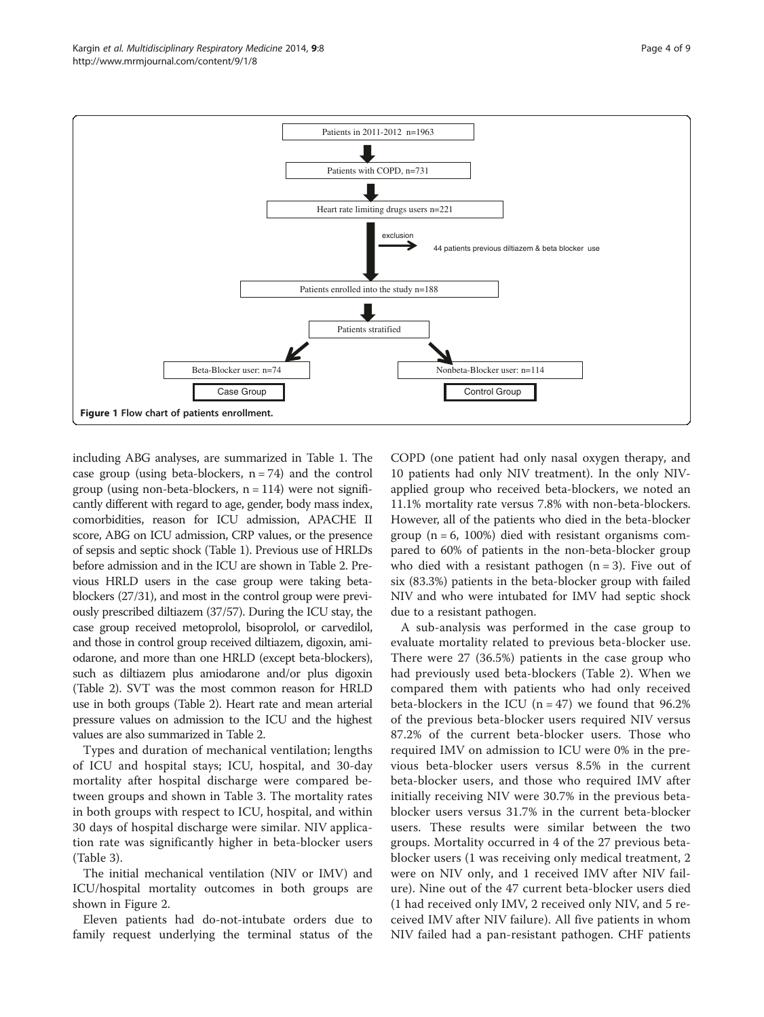<span id="page-3-0"></span>

including ABG analyses, are summarized in Table [1.](#page-4-0) The case group (using beta-blockers,  $n = 74$ ) and the control group (using non-beta-blockers,  $n = 114$ ) were not significantly different with regard to age, gender, body mass index, comorbidities, reason for ICU admission, APACHE II score, ABG on ICU admission, CRP values, or the presence of sepsis and septic shock (Table [1](#page-4-0)). Previous use of HRLDs before admission and in the ICU are shown in Table [2](#page-5-0). Previous HRLD users in the case group were taking betablockers (27/31), and most in the control group were previously prescribed diltiazem (37/57). During the ICU stay, the case group received metoprolol, bisoprolol, or carvedilol, and those in control group received diltiazem, digoxin, amiodarone, and more than one HRLD (except beta-blockers), such as diltiazem plus amiodarone and/or plus digoxin (Table [2\)](#page-5-0). SVT was the most common reason for HRLD use in both groups (Table [2\)](#page-5-0). Heart rate and mean arterial pressure values on admission to the ICU and the highest values are also summarized in Table [2.](#page-5-0)

Types and duration of mechanical ventilation; lengths of ICU and hospital stays; ICU, hospital, and 30-day mortality after hospital discharge were compared between groups and shown in Table [3](#page-5-0). The mortality rates in both groups with respect to ICU, hospital, and within 30 days of hospital discharge were similar. NIV application rate was significantly higher in beta-blocker users (Table [3](#page-5-0)).

The initial mechanical ventilation (NIV or IMV) and ICU/hospital mortality outcomes in both groups are shown in Figure [2.](#page-6-0)

Eleven patients had do-not-intubate orders due to family request underlying the terminal status of the

COPD (one patient had only nasal oxygen therapy, and 10 patients had only NIV treatment). In the only NIVapplied group who received beta-blockers, we noted an 11.1% mortality rate versus 7.8% with non-beta-blockers. However, all of the patients who died in the beta-blocker group  $(n = 6, 100\%)$  died with resistant organisms compared to 60% of patients in the non-beta-blocker group who died with a resistant pathogen  $(n = 3)$ . Five out of six (83.3%) patients in the beta-blocker group with failed NIV and who were intubated for IMV had septic shock due to a resistant pathogen.

A sub-analysis was performed in the case group to evaluate mortality related to previous beta-blocker use. There were 27 (36.5%) patients in the case group who had previously used beta-blockers (Table [2](#page-5-0)). When we compared them with patients who had only received beta-blockers in the ICU  $(n = 47)$  we found that 96.2% of the previous beta-blocker users required NIV versus 87.2% of the current beta-blocker users. Those who required IMV on admission to ICU were 0% in the previous beta-blocker users versus 8.5% in the current beta-blocker users, and those who required IMV after initially receiving NIV were 30.7% in the previous betablocker users versus 31.7% in the current beta-blocker users. These results were similar between the two groups. Mortality occurred in 4 of the 27 previous betablocker users (1 was receiving only medical treatment, 2 were on NIV only, and 1 received IMV after NIV failure). Nine out of the 47 current beta-blocker users died (1 had received only IMV, 2 received only NIV, and 5 received IMV after NIV failure). All five patients in whom NIV failed had a pan-resistant pathogen. CHF patients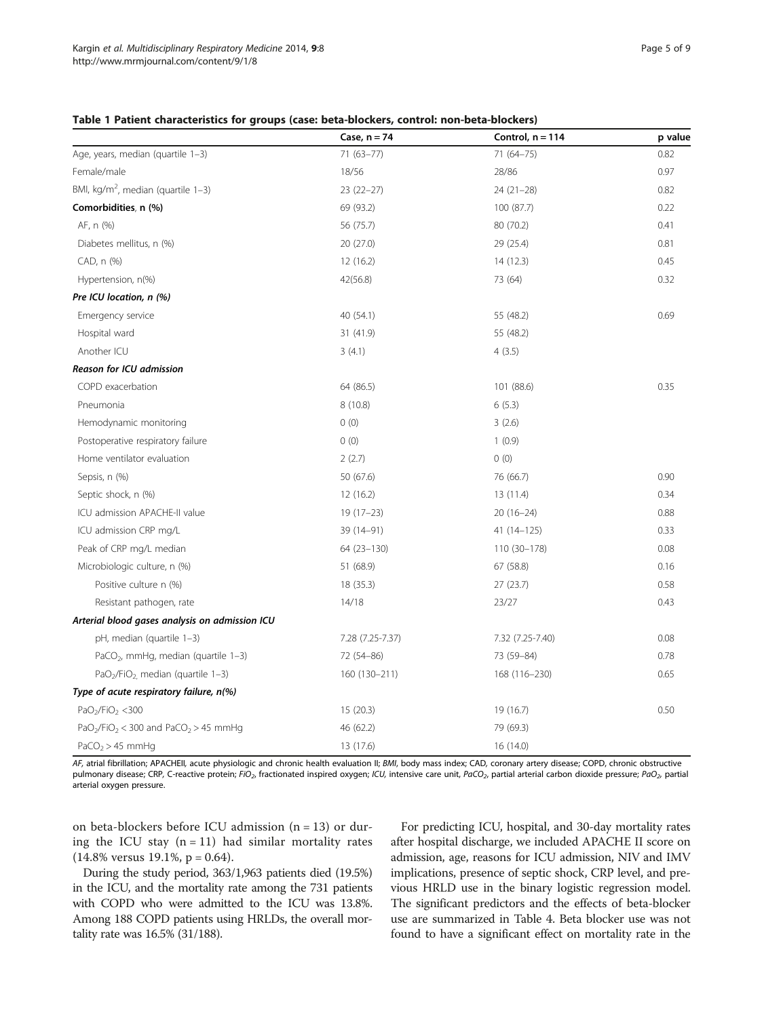<span id="page-4-0"></span>

|                                                                          | Case, $n = 74$   | Control, $n = 114$ | p value |
|--------------------------------------------------------------------------|------------------|--------------------|---------|
| Age, years, median (quartile 1-3)                                        | $71(63 - 77)$    | $71(64 - 75)$      | 0.82    |
| Female/male                                                              | 18/56            | 28/86              | 0.97    |
| BMI, kg/m <sup>2</sup> , median (quartile $1-3$ )                        | $23(22-27)$      | $24(21-28)$        | 0.82    |
| Comorbidities, n (%)                                                     | 69 (93.2)        | 100 (87.7)         | 0.22    |
| AF, n (%)                                                                | 56 (75.7)        | 80 (70.2)          | 0.41    |
| Diabetes mellitus, n (%)                                                 | 20(27.0)         | 29 (25.4)          | 0.81    |
| CAD, n (%)                                                               | 12 (16.2)        | 14(12.3)           | 0.45    |
| Hypertension, n(%)                                                       | 42(56.8)         | 73 (64)            | 0.32    |
| Pre ICU location, n (%)                                                  |                  |                    |         |
| Emergency service                                                        | 40 (54.1)        | 55 (48.2)          | 0.69    |
| Hospital ward                                                            | 31 (41.9)        | 55 (48.2)          |         |
| Another ICU                                                              | 3(4.1)           | 4(3.5)             |         |
| Reason for ICU admission                                                 |                  |                    |         |
| COPD exacerbation                                                        | 64 (86.5)        | 101 (88.6)         | 0.35    |
| Pneumonia                                                                | 8 (10.8)         | 6(5.3)             |         |
| Hemodynamic monitoring                                                   | 0(0)             | 3(2.6)             |         |
| Postoperative respiratory failure                                        | 0(0)             | 1(0.9)             |         |
| Home ventilator evaluation                                               | 2(2.7)           | 0(0)               |         |
| Sepsis, n (%)                                                            | 50 (67.6)        | 76 (66.7)          | 0.90    |
| Septic shock, n (%)                                                      | 12(16.2)         | 13(11.4)           | 0.34    |
| ICU admission APACHE-II value                                            | $19(17-23)$      | $20(16-24)$        | 0.88    |
| ICU admission CRP mg/L                                                   | 39 (14-91)       | $41(14-125)$       | 0.33    |
| Peak of CRP mg/L median                                                  | 64 (23-130)      | 110 (30-178)       | 0.08    |
| Microbiologic culture, n (%)                                             | 51 (68.9)        | 67 (58.8)          | 0.16    |
| Positive culture n (%)                                                   | 18(35.3)         | 27(23.7)           | 0.58    |
| Resistant pathogen, rate                                                 | 14/18            | 23/27              | 0.43    |
| Arterial blood gases analysis on admission ICU                           |                  |                    |         |
| pH, median (quartile 1-3)                                                | 7.28 (7.25-7.37) | 7.32 (7.25-7.40)   | 0.08    |
| PaCO <sub>2</sub> , mmHg, median (quartile 1-3)                          | 72 (54-86)       | 73 (59-84)         | 0.78    |
| $PaO2/FiO2$ , median (quartile 1-3)                                      | 160 (130-211)    | 168 (116-230)      | 0.65    |
| Type of acute respiratory failure, n(%)                                  |                  |                    |         |
| PaO <sub>2</sub> /FiO <sub>2</sub> < 300                                 | 15(20.3)         | 19 (16.7)          | 0.50    |
| PaO <sub>2</sub> /FiO <sub>2</sub> < 300 and PaCO <sub>2</sub> > 45 mmHg | 46 (62.2)        | 79 (69.3)          |         |
| PaCO <sub>2</sub> > 45 mmHq                                              | 13 (17.6)        | 16 (14.0)          |         |

AF, atrial fibrillation; APACHEII, acute physiologic and chronic health evaluation II; BMI, body mass index; CAD, coronary artery disease; COPD, chronic obstructive pulmonary disease; CRP, C-reactive protein; FiO<sub>2</sub>, fractionated inspired oxygen; ICU, intensive care unit, PaCO<sub>2</sub>, partial arterial carbon dioxide pressure; PaO<sub>2</sub>, partial arterial oxygen pressure.

on beta-blockers before ICU admission  $(n = 13)$  or during the ICU stay  $(n = 11)$  had similar mortality rates  $(14.8\%$  versus 19.1%, p = 0.64).

During the study period, 363/1,963 patients died (19.5%) in the ICU, and the mortality rate among the 731 patients with COPD who were admitted to the ICU was 13.8%. Among 188 COPD patients using HRLDs, the overall mortality rate was 16.5% (31/188).

For predicting ICU, hospital, and 30-day mortality rates after hospital discharge, we included APACHE II score on admission, age, reasons for ICU admission, NIV and IMV implications, presence of septic shock, CRP level, and previous HRLD use in the binary logistic regression model. The significant predictors and the effects of beta-blocker use are summarized in Table [4.](#page-6-0) Beta blocker use was not found to have a significant effect on mortality rate in the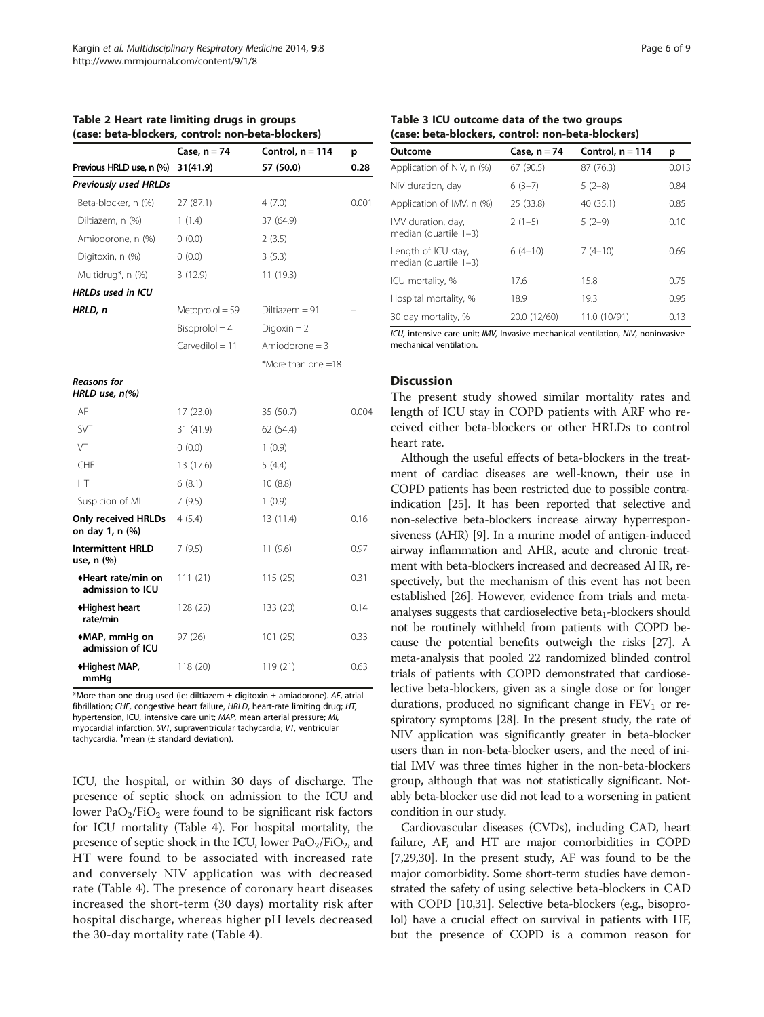|                                               | Case, n = 74      | Control, $n = 114$ | р     |
|-----------------------------------------------|-------------------|--------------------|-------|
| Previous HRLD use, n (%)                      | 31(41.9)          | 57 (50.0)          | 0.28  |
| <b>Previously used HRLDs</b>                  |                   |                    |       |
| Beta-blocker, n (%)                           | 27 (87.1)         | 4(7.0)             | 0.001 |
| Diltiazem, n (%)                              | 1(1.4)            | 37 (64.9)          |       |
| Amiodorone, n (%)                             | 0(0.0)            | 2(3.5)             |       |
| Digitoxin, n (%)                              | 0(0.0)            | 3(5.3)             |       |
| Multidrug*, n (%)                             | 3(12.9)           | 11 (19.3)          |       |
| <b>HRLDs used in ICU</b>                      |                   |                    |       |
| HRLD, n                                       | $Metoprolol = 59$ | Diltiazem = 91     |       |
|                                               | $Bisoprolol = 4$  | $Diqoxin = 2$      |       |
|                                               | $Carvediol = 11$  | Amiodorone $=$ 3   |       |
|                                               |                   | *More than one =18 |       |
| Reasons for<br>HRLD use, n(%)                 |                   |                    |       |
| AF                                            | 17(23.0)          | 35 (50.7)          | 0.004 |
| <b>SVT</b>                                    | 31 (41.9)         | 62 (54.4)          |       |
| VT                                            | 0(0.0)            | 1(0.9)             |       |
| CHF                                           | 13 (17.6)         | 5(4.4)             |       |
| HT                                            | 6(8.1)            | 10(8.8)            |       |
| Suspicion of MI                               | 7(9.5)            | 1(0.9)             |       |
| <b>Only received HRLDs</b><br>on day 1, n (%) | 4(5.4)            | 13 (11.4)          | 0.16  |
| <b>Intermittent HRLD</b><br>use, n (%)        | 7(9.5)            | 11(9.6)            | 0.97  |
| ◆Heart rate/min on<br>admission to ICU        | 111 (21)          | 115(25)            | 0.31  |
| ◆Highest heart<br>rate/min                    | 128 (25)          | 133 (20)           | 0.14  |
| ◆MAP, mmHg on<br>admission of ICU             | 97 (26)           | 101(25)            | 0.33  |
| ◆Highest MAP,<br>mmHq                         | 118 (20)          | 119 (21)           | 0.63  |

<span id="page-5-0"></span>Table 2 Heart rate limiting drugs in groups (case: beta-blockers, control: non-beta-blockers)

\*More than one drug used (ie: diltiazem  $\pm$  digitoxin  $\pm$  amiadorone). AF, atrial fibrillation; CHF, congestive heart failure, HRLD, heart-rate limiting drug; HT, hypertension, ICU, intensive care unit; MAP, mean arterial pressure; MI, myocardial infarction, SVT, supraventricular tachycardia; VT, ventricular tachycardia. ♦ mean (± standard deviation).

ICU, the hospital, or within 30 days of discharge. The presence of septic shock on admission to the ICU and lower  $PaO<sub>2</sub>/FiO<sub>2</sub>$  were found to be significant risk factors for ICU mortality (Table [4](#page-6-0)). For hospital mortality, the presence of septic shock in the ICU, lower  $PaO<sub>2</sub>/FiO<sub>2</sub>$ , and HT were found to be associated with increased rate and conversely NIV application was with decreased rate (Table [4\)](#page-6-0). The presence of coronary heart diseases increased the short-term (30 days) mortality risk after hospital discharge, whereas higher pH levels decreased the 30-day mortality rate (Table [4](#page-6-0)).

#### Table 3 ICU outcome data of the two groups (case: beta-blockers, control: non-beta-blockers)

| Outcome                                         | Case, $n = 74$ | Control, $n = 114$ | р     |  |
|-------------------------------------------------|----------------|--------------------|-------|--|
| Application of NIV, n (%)                       | 67 (90.5)      | 87 (76.3)          | 0.013 |  |
| NIV duration, day                               | $6(3-7)$       | $5(2-8)$           | 0.84  |  |
| Application of IMV, n (%)                       | 25 (33.8)      | 40 (35.1)          | 0.85  |  |
| IMV duration, day,<br>median (quartile $1-3$ )  | $2(1-5)$       | $5(2-9)$           | 0.10  |  |
| Length of ICU stay,<br>median (quartile $1-3$ ) | $6(4-10)$      | $7(4-10)$          | 0.69  |  |
| ICU mortality, %                                | 17.6           | 15.8               | 0.75  |  |
| Hospital mortality, %                           | 18.9           | 19.3               | 0.95  |  |
| 30 day mortality, %                             | 20.0 (12/60)   | 11.0 (10/91)       | 0.13  |  |

ICU, intensive care unit; IMV, Invasive mechanical ventilation, NIV, noninvasive mechanical ventilation.

## Discussion

The present study showed similar mortality rates and length of ICU stay in COPD patients with ARF who received either beta-blockers or other HRLDs to control heart rate.

Although the useful effects of beta-blockers in the treatment of cardiac diseases are well-known, their use in COPD patients has been restricted due to possible contraindication [\[25\]](#page-8-0). It has been reported that selective and non-selective beta-blockers increase airway hyperresponsiveness (AHR) [[9](#page-7-0)]. In a murine model of antigen-induced airway inflammation and AHR, acute and chronic treatment with beta-blockers increased and decreased AHR, respectively, but the mechanism of this event has not been established [[26](#page-8-0)]. However, evidence from trials and metaanalyses suggests that cardioselective beta<sub>1</sub>-blockers should not be routinely withheld from patients with COPD because the potential benefits outweigh the risks [[27](#page-8-0)]. A meta-analysis that pooled 22 randomized blinded control trials of patients with COPD demonstrated that cardioselective beta-blockers, given as a single dose or for longer durations, produced no significant change in  $FEV<sub>1</sub>$  or respiratory symptoms [\[28\]](#page-8-0). In the present study, the rate of NIV application was significantly greater in beta-blocker users than in non-beta-blocker users, and the need of initial IMV was three times higher in the non-beta-blockers group, although that was not statistically significant. Notably beta-blocker use did not lead to a worsening in patient condition in our study.

Cardiovascular diseases (CVDs), including CAD, heart failure, AF, and HT are major comorbidities in COPD [[7,](#page-7-0)[29,30\]](#page-8-0). In the present study, AF was found to be the major comorbidity. Some short-term studies have demonstrated the safety of using selective beta-blockers in CAD with COPD [[10](#page-7-0)[,31](#page-8-0)]. Selective beta-blockers (e.g., bisoprolol) have a crucial effect on survival in patients with HF, but the presence of COPD is a common reason for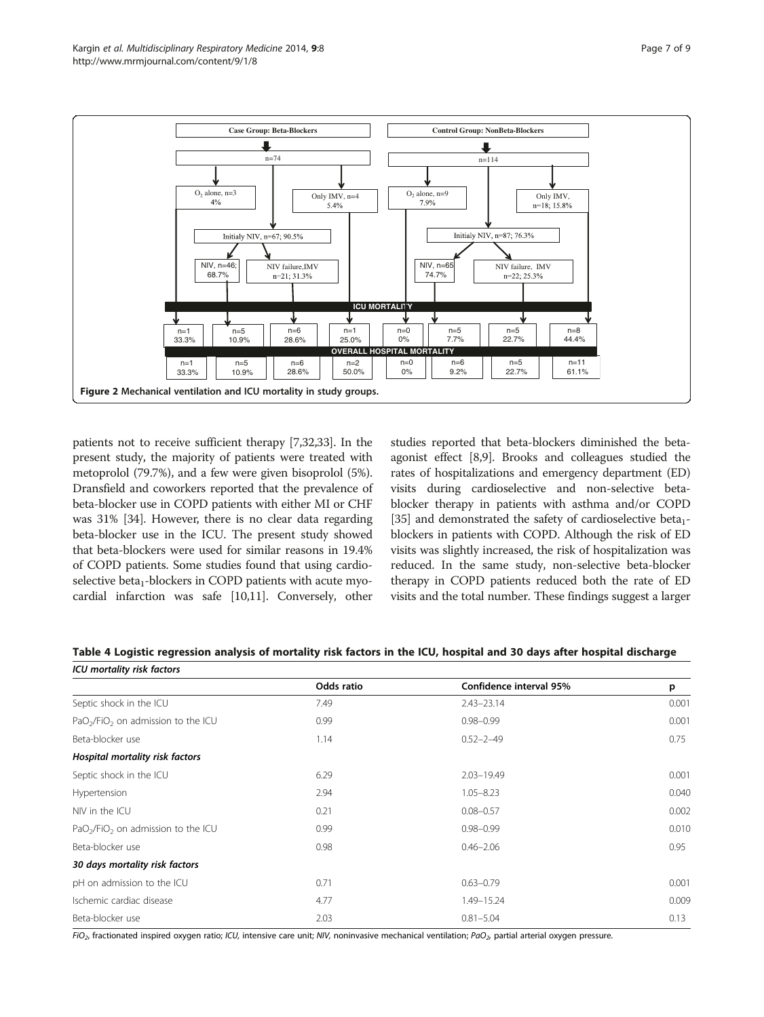<span id="page-6-0"></span>

patients not to receive sufficient therapy [[7,](#page-7-0)[32,33\]](#page-8-0). In the present study, the majority of patients were treated with metoprolol (79.7%), and a few were given bisoprolol (5%). Dransfield and coworkers reported that the prevalence of beta-blocker use in COPD patients with either MI or CHF was 31% [\[34\]](#page-8-0). However, there is no clear data regarding beta-blocker use in the ICU. The present study showed that beta-blockers were used for similar reasons in 19.4% of COPD patients. Some studies found that using cardioselective beta $<sub>1</sub>$ -blockers in COPD patients with acute myo-</sub> cardial infarction was safe [[10](#page-7-0),[11](#page-7-0)]. Conversely, other

studies reported that beta-blockers diminished the betaagonist effect [\[8,9\]](#page-7-0). Brooks and colleagues studied the rates of hospitalizations and emergency department (ED) visits during cardioselective and non-selective betablocker therapy in patients with asthma and/or COPD [[35](#page-8-0)] and demonstrated the safety of cardioselective beta<sub>1</sub>blockers in patients with COPD. Although the risk of ED visits was slightly increased, the risk of hospitalization was reduced. In the same study, non-selective beta-blocker therapy in COPD patients reduced both the rate of ED visits and the total number. These findings suggest a larger

|  | Table 4 Logistic regression analysis of mortality risk factors in the ICU, hospital and 30 days after hospital discharge |
|--|--------------------------------------------------------------------------------------------------------------------------|
|  |                                                                                                                          |

| <b>ICU mortality risk factors</b>                          |            |                         |       |
|------------------------------------------------------------|------------|-------------------------|-------|
|                                                            | Odds ratio | Confidence interval 95% | p     |
| Septic shock in the ICU                                    | 7.49       | $2.43 - 23.14$          | 0.001 |
| PaO <sub>2</sub> /FiO <sub>2</sub> on admission to the ICU | 0.99       | $0.98 - 0.99$           | 0.001 |
| Beta-blocker use                                           | 1.14       | $0.52 - 2 - 49$         | 0.75  |
| Hospital mortality risk factors                            |            |                         |       |
| Septic shock in the ICU                                    | 6.29       | $2.03 - 19.49$          | 0.001 |
| Hypertension                                               | 2.94       | $1.05 - 8.23$           | 0.040 |
| NIV in the ICU                                             | 0.21       | $0.08 - 0.57$           | 0.002 |
| $PaO2/FiO2$ on admission to the ICU                        | 0.99       | $0.98 - 0.99$           | 0.010 |
| Beta-blocker use                                           | 0.98       | $0.46 - 2.06$           | 0.95  |
| 30 days mortality risk factors                             |            |                         |       |
| pH on admission to the ICU                                 | 0.71       | $0.63 - 0.79$           | 0.001 |
| Ischemic cardiac disease                                   | 4.77       | 1.49-15.24              | 0.009 |
| Beta-blocker use                                           | 2.03       | $0.81 - 5.04$           | 0.13  |

 $F$ iO<sub>2</sub>, fractionated inspired oxygen ratio; ICU, intensive care unit; NIV, noninvasive mechanical ventilation; PaO<sub>2</sub>, partial arterial oxygen pressure.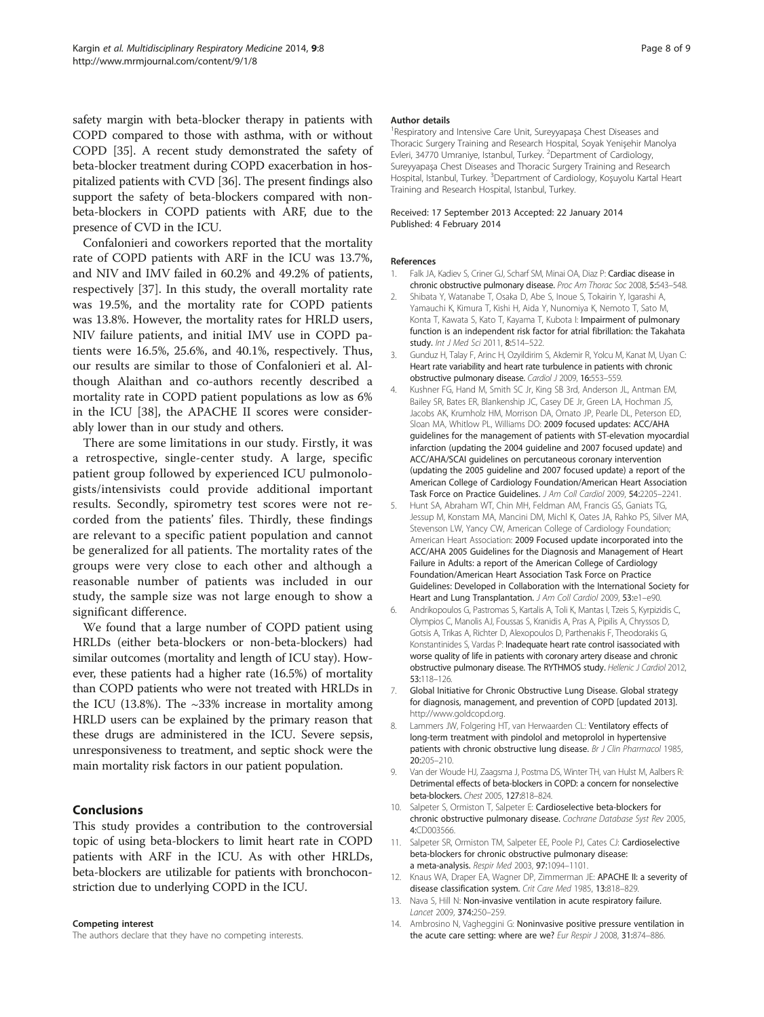<span id="page-7-0"></span>safety margin with beta-blocker therapy in patients with COPD compared to those with asthma, with or without COPD [\[35\]](#page-8-0). A recent study demonstrated the safety of beta-blocker treatment during COPD exacerbation in hospitalized patients with CVD [\[36\]](#page-8-0). The present findings also support the safety of beta-blockers compared with nonbeta-blockers in COPD patients with ARF, due to the presence of CVD in the ICU.

Confalonieri and coworkers reported that the mortality rate of COPD patients with ARF in the ICU was 13.7%, and NIV and IMV failed in 60.2% and 49.2% of patients, respectively [[37\]](#page-8-0). In this study, the overall mortality rate was 19.5%, and the mortality rate for COPD patients was 13.8%. However, the mortality rates for HRLD users, NIV failure patients, and initial IMV use in COPD patients were 16.5%, 25.6%, and 40.1%, respectively. Thus, our results are similar to those of Confalonieri et al. Although Alaithan and co-authors recently described a mortality rate in COPD patient populations as low as 6% in the ICU [\[38](#page-8-0)], the APACHE II scores were considerably lower than in our study and others.

There are some limitations in our study. Firstly, it was a retrospective, single-center study. A large, specific patient group followed by experienced ICU pulmonologists/intensivists could provide additional important results. Secondly, spirometry test scores were not recorded from the patients' files. Thirdly, these findings are relevant to a specific patient population and cannot be generalized for all patients. The mortality rates of the groups were very close to each other and although a reasonable number of patients was included in our study, the sample size was not large enough to show a significant difference.

We found that a large number of COPD patient using HRLDs (either beta-blockers or non-beta-blockers) had similar outcomes (mortality and length of ICU stay). However, these patients had a higher rate (16.5%) of mortality than COPD patients who were not treated with HRLDs in the ICU (13.8%). The  $\sim$ 33% increase in mortality among HRLD users can be explained by the primary reason that these drugs are administered in the ICU. Severe sepsis, unresponsiveness to treatment, and septic shock were the main mortality risk factors in our patient population.

#### Conclusions

This study provides a contribution to the controversial topic of using beta-blockers to limit heart rate in COPD patients with ARF in the ICU. As with other HRLDs, beta-blockers are utilizable for patients with bronchoconstriction due to underlying COPD in the ICU.

#### Competing interest

The authors declare that they have no competing interests.

#### Author details

<sup>1</sup> Respiratory and Intensive Care Unit, Sureyyapaşa Chest Diseases and Thoracic Surgery Training and Research Hospital, Soyak Yenişehir Manolya Evleri, 34770 Umraniye, Istanbul, Turkey. <sup>2</sup>Department of Cardiology, Sureyyapaşa Chest Diseases and Thoracic Surgery Training and Research Hospital, Istanbul, Turkey. <sup>3</sup>Department of Cardiology, Koşuyolu Kartal Heart Training and Research Hospital, Istanbul, Turkey.

#### Received: 17 September 2013 Accepted: 22 January 2014 Published: 4 February 2014

#### References

- 1. Falk JA, Kadiev S, Criner GJ, Scharf SM, Minai OA, Diaz P: Cardiac disease in chronic obstructive pulmonary disease. Proc Am Thorac Soc 2008, 5:543–548.
- 2. Shibata Y, Watanabe T, Osaka D, Abe S, Inoue S, Tokairin Y, Igarashi A, Yamauchi K, Kimura T, Kishi H, Aida Y, Nunomiya K, Nemoto T, Sato M, Konta T, Kawata S, Kato T, Kayama T, Kubota I: Impairment of pulmonary function is an independent risk factor for atrial fibrillation: the Takahata study. Int J Med Sci 2011, 8:514-522.
- 3. Gunduz H, Talay F, Arinc H, Ozyildirim S, Akdemir R, Yolcu M, Kanat M, Uyan C: Heart rate variability and heart rate turbulence in patients with chronic obstructive pulmonary disease. Cardiol J 2009, 16:553–559.
- 4. Kushner FG, Hand M, Smith SC Jr, King SB 3rd, Anderson JL, Antman EM, Bailey SR, Bates ER, Blankenship JC, Casey DE Jr, Green LA, Hochman JS, Jacobs AK, Krumholz HM, Morrison DA, Ornato JP, Pearle DL, Peterson ED, Sloan MA, Whitlow PL, Williams DO: 2009 focused updates: ACC/AHA guidelines for the management of patients with ST-elevation myocardial infarction (updating the 2004 guideline and 2007 focused update) and ACC/AHA/SCAI guidelines on percutaneous coronary intervention (updating the 2005 guideline and 2007 focused update) a report of the American College of Cardiology Foundation/American Heart Association Task Force on Practice Guidelines. J Am Coll Cardiol 2009, 54:2205–2241.
- 5. Hunt SA, Abraham WT, Chin MH, Feldman AM, Francis GS, Ganiats TG, Jessup M, Konstam MA, Mancini DM, Michl K, Oates JA, Rahko PS, Silver MA, Stevenson LW, Yancy CW, American College of Cardiology Foundation; American Heart Association: 2009 Focused update incorporated into the ACC/AHA 2005 Guidelines for the Diagnosis and Management of Heart Failure in Adults: a report of the American College of Cardiology Foundation/American Heart Association Task Force on Practice Guidelines: Developed in Collaboration with the International Society for Heart and Lung Transplantation. J Am Coll Cardiol 2009, 53:e1-e90.
- 6. Andrikopoulos G, Pastromas S, Kartalis A, Toli K, Mantas I, Tzeis S, Kyrpizidis C, Olympios C, Manolis AJ, Foussas S, Kranidis A, Pras A, Pipilis A, Chryssos D, Gotsis A, Trikas A, Richter D, Alexopoulos D, Parthenakis F, Theodorakis G, Konstantinides S, Vardas P: Inadequate heart rate control isassociated with worse quality of life in patients with coronary artery disease and chronic obstructive pulmonary disease. The RYTHMOS study. Hellenic J Cardiol 2012, 53:118–126.
- 7. Global Initiative for Chronic Obstructive Lung Disease. Global strategy for diagnosis, management, and prevention of COPD [updated 2013]. [http://www.goldcopd.org.](http://www.goldcopd.org)
- Lammers JW, Folgering HT, van Herwaarden CL: Ventilatory effects of long-term treatment with pindolol and metoprolol in hypertensive patients with chronic obstructive lung disease. Br J Clin Pharmacol 1985, 20:205–210.
- 9. Van der Woude HJ, Zaagsma J, Postma DS, Winter TH, van Hulst M, Aalbers R: Detrimental effects of beta-blockers in COPD: a concern for nonselective beta-blockers. Chest 2005, 127:818–824.
- 10. Salpeter S, Ormiston T, Salpeter E: Cardioselective beta-blockers for chronic obstructive pulmonary disease. Cochrane Database Syst Rev 2005, 4:CD003566.
- 11. Salpeter SR, Ormiston TM, Salpeter EE, Poole PJ, Cates CJ: Cardioselective beta-blockers for chronic obstructive pulmonary disease: a meta-analysis. Respir Med 2003, 97:1094–1101.
- 12. Knaus WA, Draper EA, Wagner DP, Zimmerman JE: APACHE II: a severity of disease classification system. Crit Care Med 1985, 13:818–829.
- 13. Nava S, Hill N: Non-invasive ventilation in acute respiratory failure. Lancet 2009, 374:250–259.
- 14. Ambrosino N, Vagheggini G: Noninvasive positive pressure ventilation in the acute care setting: where are we? Eur Respir J 2008, 31:874-886.